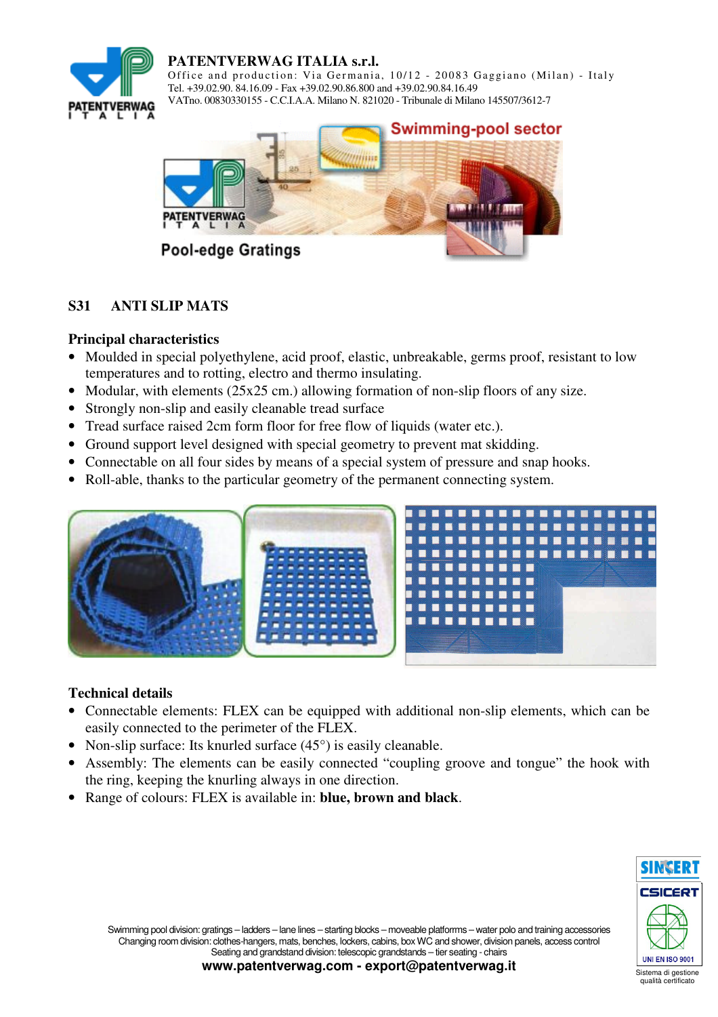

## **PATENTVERWAG ITALIA s.r.l.**

Office and production: Via Germania, 10/12 - 20083 Gaggiano (Milan) - Italy Tel. +39.02.90. 84.16.09 - Fax +39.02.90.86.800 and +39.02.90.84.16.49 VATno. 00830330155 - C.C.I.A.A. Milano N. 821020 - Tribunale di Milano 145507/3612-7



# **S31 ANTI SLIP MATS**

## **Principal characteristics**

- Moulded in special polyethylene, acid proof, elastic, unbreakable, germs proof, resistant to low temperatures and to rotting, electro and thermo insulating.
- Modular, with elements (25x25 cm.) allowing formation of non-slip floors of any size.
- Strongly non-slip and easily cleanable tread surface
- Tread surface raised 2cm form floor for free flow of liquids (water etc.).
- Ground support level designed with special geometry to prevent mat skidding.
- Connectable on all four sides by means of a special system of pressure and snap hooks.
- Roll-able, thanks to the particular geometry of the permanent connecting system.



## **Technical details**

- Connectable elements: FLEX can be equipped with additional non-slip elements, which can be easily connected to the perimeter of the FLEX.
- Non-slip surface: Its knurled surface  $(45^{\circ})$  is easily cleanable.
- Assembly: The elements can be easily connected "coupling groove and tongue" the hook with the ring, keeping the knurling always in one direction.
- Range of colours: FLEX is available in: **blue, brown and black**.



Swimming pool division: gratings – ladders – lane lines – starting blocks – moveable platforrms – water polo and training accessories Changing room division: clothes-hangers, mats, benches, lockers, cabins, box WC and shower, division panels, access control Seating and grandstand division: telescopic grandstands – tier seating - chairs

**www.patentverwag.com - export@patentverwag.it**